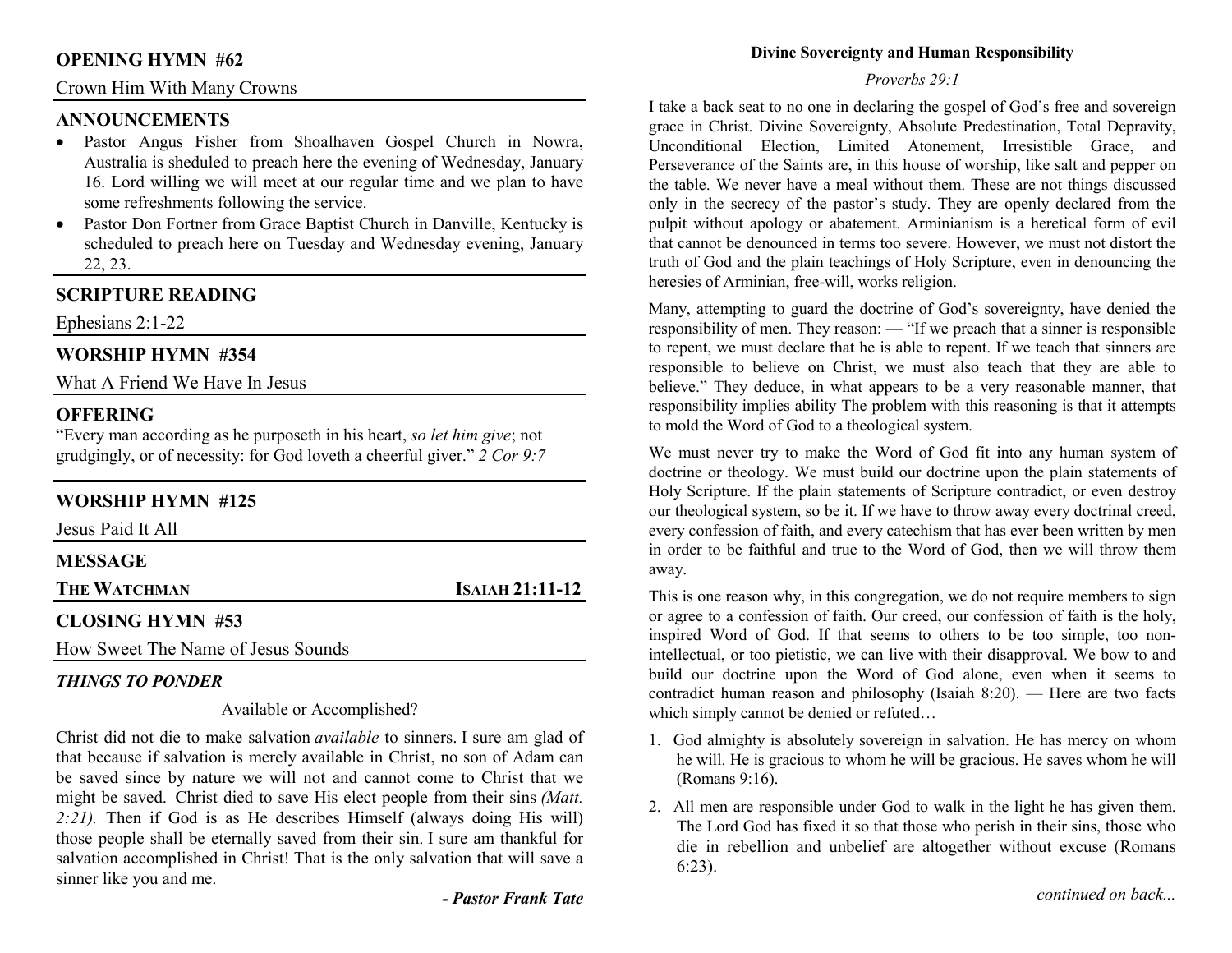### **OPENING HYMN #62**

### Crown Him With Many Crowns

## **ANNOUNCEMENTS**

- Pastor Angus Fisher from Shoalhaven Gospel Church in Nowra, Australia is sheduled to preach here the evening of Wednesday, January 16. Lord willing we will meet at our regular time and we plan to have some refreshments following the service.
- Pastor Don Fortner from Grace Baptist Church in Danville, Kentucky is scheduled to preach here on Tuesday and Wednesday evening, January 22, 23.

## **SCRIPTURE READING**

Ephesians 2:1-22

## **WORSHIP HYMN #354**

What A Friend We Have In Jesus

## **OFFERING**

 "Every man according as he purposeth in his heart, *so let him give*; not grudgingly, or of necessity: for God loveth a cheerful giver." *2 Cor 9:7*

## **WORSHIP HYMN #125**

| Jesus Paid It All   |                 |
|---------------------|-----------------|
| <b>MESSAGE</b>      |                 |
| <b>THE WATCHMAN</b> | ISAIAH 21:11-12 |
| CLOSING HYMN #53    |                 |

How Sweet The Name of Jesus Sounds

## *THINGS TO PONDER*

### Available or Accomplished?

Christ did not die to make salvation *available* to sinners. I sure am glad of that because if salvation is merely available in Christ, no son of Adam can be saved since by nature we will not and cannot come to Christ that we might be saved. Christ died to save His elect people from their sins *(Matt. 2:21).* Then if God is as He describes Himself (always doing His will) those people shall be eternally saved from their sin. I sure am thankful for salvation accomplished in Christ! That is the only salvation that will save a sinner like you and me.

### **Divine Sovereignty and Human Responsibility**

### *Proverbs 29:1*

I take a back seat to no one in declaring the gospel of God's free and sovereign grace in Christ. Divine Sovereignty, Absolute Predestination, Total Depravity, Unconditional Election, Limited Atonement, Irresistible Grace, and Perseverance of the Saints are, in this house of worship, like salt and pepper on the table. We never have a meal without them. These are not things discussed only in the secrecy of the pastor's study. They are openly declared from the pulpit without apology or abatement. Arminianism is a heretical form of evil that cannot be denounced in terms too severe. However, we must not distort the truth of God and the plain teachings of Holy Scripture, even in denouncing the heresies of Arminian, free-will, works religion.

Many, attempting to guard the doctrine of God's sovereignty, have denied the responsibility of men. They reason: — "If we preach that a sinner is responsible to repent, we must declare that he is able to repent. If we teach that sinners are responsible to believe on Christ, we must also teach that they are able to believe." They deduce, in what appears to be a very reasonable manner, that responsibility implies ability The problem with this reasoning is that it attempts to mold the Word of God to a theological system.

We must never try to make the Word of God fit into any human system of doctrine or theology. We must build our doctrine upon the plain statements of Holy Scripture. If the plain statements of Scripture contradict, or even destroy our theological system, so be it. If we have to throw away every doctrinal creed, every confession of faith, and every catechism that has ever been written by men in order to be faithful and true to the Word of God, then we will throw them away.

This is one reason why, in this congregation, we do not require members to sign or agree to a confession of faith. Our creed, our confession of faith is the holy, inspired Word of God. If that seems to others to be too simple, too nonintellectual, or too pietistic, we can live with their disapproval. We bow to and build our doctrine upon the Word of God alone, even when it seems to contradict human reason and philosophy (Isaiah 8:20). — Here are two facts which simply cannot be denied or refuted...

- 1. God almighty is absolutely sovereign in salvation. He has mercy on whom he will. He is gracious to whom he will be gracious. He saves whom he will (Romans 9:16).
- 2. All men are responsible under God to walk in the light he has given them. The Lord God has fixed it so that those who perish in their sins, those who die in rebellion and unbelief are altogether without excuse (Romans 6:23).